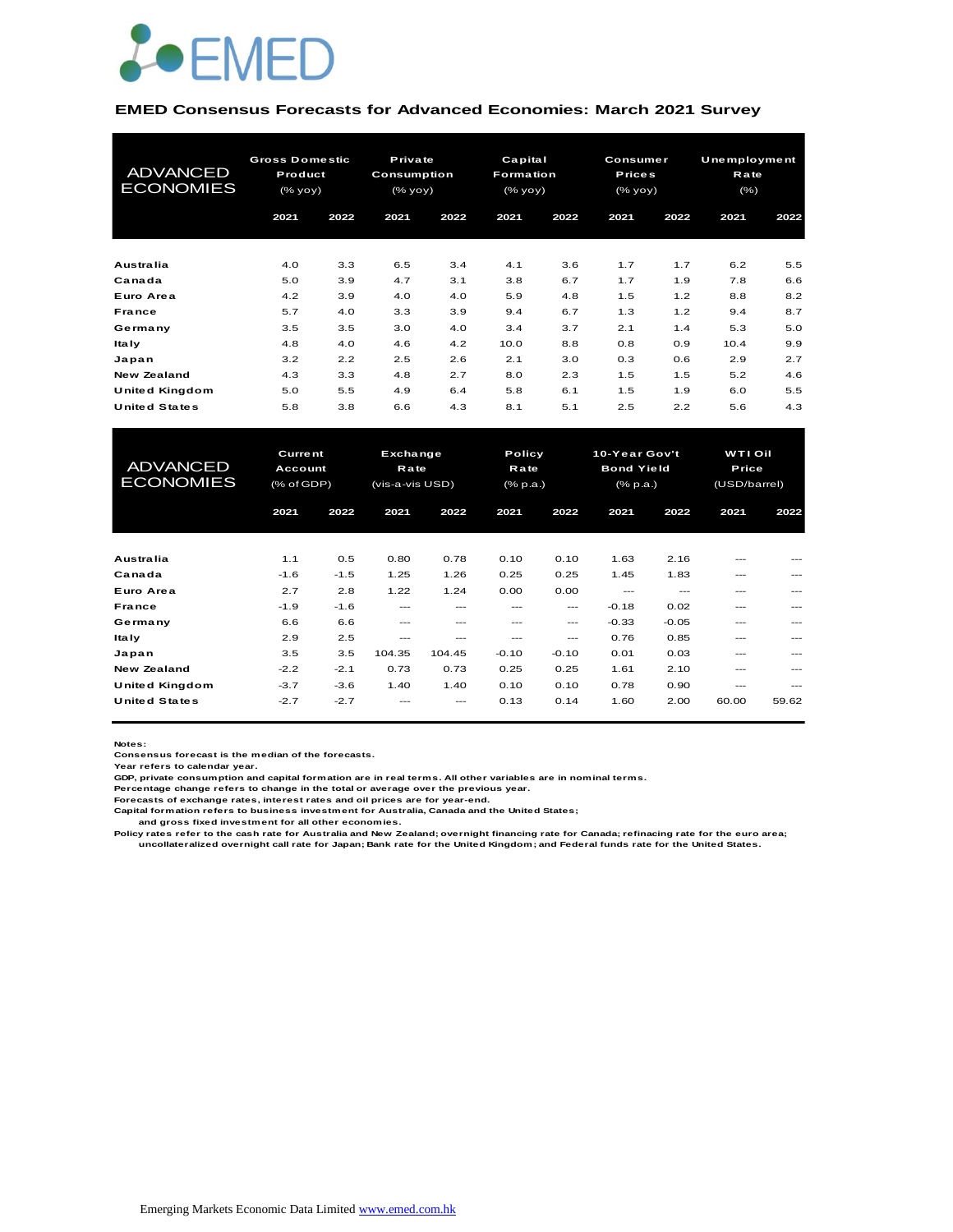

#### **EMED Consensus Forecasts for Advanced Economies: March 2021 Survey**

| <b>ADVANCED</b><br><b>ECONOMIES</b> | <b>Gross Domestic</b><br>Product<br>(% yoy) |      |                  |      | Private<br>Consumption<br>(% |      | Capital<br><b>Formation</b><br>(% yoy) |      | Consumer<br><b>Prices</b><br>(% yoy) |      | Unemployment<br>Rate<br>(% ) |  |
|-------------------------------------|---------------------------------------------|------|------------------|------|------------------------------|------|----------------------------------------|------|--------------------------------------|------|------------------------------|--|
|                                     | 2021                                        | 2022 | 2021             | 2022 | 2021                         | 2022 | 2021                                   | 2022 | 2021                                 | 2022 |                              |  |
| <b>Australia</b>                    | 4.0                                         | 3.3  | 6.5              | 3.4  | 4.1                          | 3.6  | 1.7                                    | 1.7  | 6.2                                  | 5.5  |                              |  |
| Canada                              | 5.0                                         | 3.9  | 4.7              | 3.1  | 3.8                          | 6.7  | 1.7                                    | 1.9  | 7.8                                  | 6.6  |                              |  |
| Euro Area                           | 4.2                                         | 3.9  | 4.0              | 4.0  | 5.9                          | 4.8  | 1.5                                    | 1.2  | 8.8                                  | 8.2  |                              |  |
| <b>France</b>                       | 5.7                                         | 4.0  | 3.3              | 3.9  | 9.4                          | 6.7  | 1.3                                    | 1.2  | 9.4                                  | 8.7  |                              |  |
| Germany                             | 3.5                                         | 3.5  | 3.0              | 4.0  | 3.4                          | 3.7  | 2.1                                    | 1.4  | 5.3                                  | 5.0  |                              |  |
| <b>Italy</b>                        | 4.8                                         | 4.0  | 4.6              | 4.2  | 10.0                         | 8.8  | 0.8                                    | 0.9  | 10.4                                 | 9.9  |                              |  |
| Japan                               | 3.2                                         | 2.2  | 2.5              | 2.6  | 2.1                          | 3.0  | 0.3                                    | 0.6  | 2.9                                  | 2.7  |                              |  |
| <b>New Zealand</b>                  | 4.3                                         | 3.3  | 4.8              | 2.7  | 8.0                          | 2.3  | 1.5                                    | 1.5  | 5.2                                  | 4.6  |                              |  |
| United Kingdom                      | 5.0                                         | 5.5  | 4.9              | 6.4  | 5.8                          | 6.1  | 1.5                                    | 1.9  | 6.0                                  | 5.5  |                              |  |
| <b>United States</b>                | 5.8                                         | 3.8  | 6.6              | 4.3  | 8.1                          | 5.1  | 2.5                                    | 2.2  | 5.6                                  | 4.3  |                              |  |
|                                     |                                             |      |                  |      |                              |      |                                        |      |                                      |      |                              |  |
| <b>ADVANCED</b>                     | <b>Current</b><br>Account                   |      | Exchange<br>Rate |      | Policy<br>Rate               |      | 10-Year Gov't<br><b>Bond Yield</b>     |      | <b>WTI Oil</b><br>Price              |      |                              |  |

| <b>ADVANCED</b><br><b>ECONOMIES</b> | <b>Current</b><br>Account<br>(% of GDP) |        | Exchange<br>Rate<br>(vis-a-vis USD) |        |         | Policy<br>Rate<br>(% p.a.) |         | 10-Year Gov't<br><b>Bond Yield</b><br>(% p.a.) |               | <b>WTI Oil</b><br><b>Price</b><br>(USD/barrel) |  |
|-------------------------------------|-----------------------------------------|--------|-------------------------------------|--------|---------|----------------------------|---------|------------------------------------------------|---------------|------------------------------------------------|--|
|                                     | 2021                                    | 2022   | 2021                                | 2022   | 2021    | 2022                       | 2021    | 2022                                           | 2021          | 2022                                           |  |
| Australia                           | 1.1                                     | 0.5    | 0.80                                | 0.78   | 0.10    | 0.10                       | 1.63    | 2.16                                           | ---           | $---$                                          |  |
| Canada                              | $-1.6$                                  | $-1.5$ | 1.25                                | 1.26   | 0.25    | 0.25                       | 1.45    | 1.83                                           | $\frac{1}{2}$ | $\frac{1}{2}$                                  |  |
| Euro Area                           | 2.7                                     | 2.8    | 1.22                                | 1.24   | 0.00    | 0.00                       | $---$   | $\qquad \qquad -$                              | $---$         | ---                                            |  |
| <b>France</b>                       | $-1.9$                                  | $-1.6$ | ---                                 | ---    | ---     | $---$                      | $-0.18$ | 0.02                                           | $---$         | ---                                            |  |
| Germany                             | 6.6                                     | 6.6    | ---                                 | ---    | ---     | ---                        | $-0.33$ | $-0.05$                                        | $---$         | ---                                            |  |
| Italy                               | 2.9                                     | 2.5    | $\frac{1}{2}$                       |        | ---     | ---                        | 0.76    | 0.85                                           | $---$         | ---                                            |  |
| Japan                               | 3.5                                     | 3.5    | 104.35                              | 104.45 | $-0.10$ | $-0.10$                    | 0.01    | 0.03                                           | $---$         | ---                                            |  |
| <b>New Zealand</b>                  | $-2.2$                                  | $-2.1$ | 0.73                                | 0.73   | 0.25    | 0.25                       | 1.61    | 2.10                                           | $---$         | $---$                                          |  |
| United Kingdom                      | $-3.7$                                  | $-3.6$ | 1.40                                | 1.40   | 0.10    | 0.10                       | 0.78    | 0.90                                           | $---$         | $---$                                          |  |
| <b>United States</b>                | $-2.7$                                  | $-2.7$ | ---                                 | ---    | 0.13    | 0.14                       | 1.60    | 2.00                                           | 60.00         | 59.62                                          |  |

**Notes:** 

**Consensus forecast is the median of the forecasts.**

**Year refers to calendar year.**

**GDP, private consumption and capital formation are in real terms. All other variables are in nominal terms.**

**Percentage change refers to change in the total or average over the previous year.**

**Forecasts of exchange rates, interest rates and oil prices are for year-end.**

**Capital formation refers to business investment for Australia, Canada and the United States; and gross fixed investment for all other economies.**

**Policy rates refer to the cash rate for Australia and New Zealand; overnight financing rate for Canada; refinacing rate for the euro area; uncollateralized overnight call rate for Japan; Bank rate for the United Kingdom; and Federal funds rate for the United States.**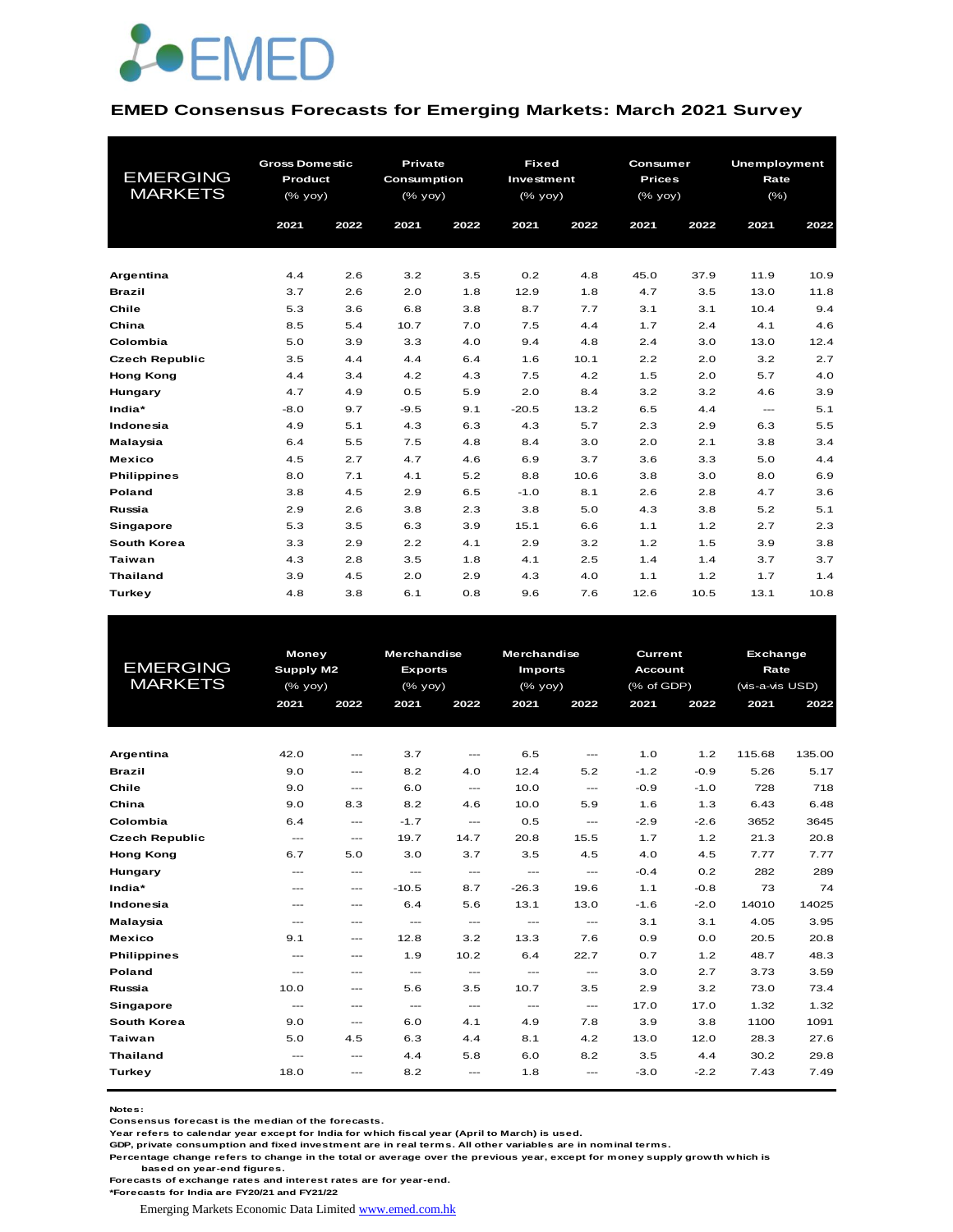

#### **EMED Consensus Forecasts for Emerging Markets: March 2021 Survey**

| <b>EMERGING</b><br><b>MARKETS</b> | <b>Gross Domestic</b><br>Product<br>(% yoy)<br>2021 | 2022 | <b>Private</b><br>Consumption<br>$(%$ (% yoy)<br>2021 | 2022 | <b>Fixed</b><br>Investment<br>(% yoy)<br>2021 | 2022 | Consumer<br><b>Prices</b><br>(% yoy)<br>2021 | 2022 | <b>Unemployment</b><br>Rate<br>(% )<br>2021 | 2022 |
|-----------------------------------|-----------------------------------------------------|------|-------------------------------------------------------|------|-----------------------------------------------|------|----------------------------------------------|------|---------------------------------------------|------|
| Argentina                         | 4.4                                                 | 2.6  | 3.2                                                   | 3.5  | 0.2                                           | 4.8  | 45.0                                         | 37.9 | 11.9                                        | 10.9 |
| <b>Brazil</b>                     | 3.7                                                 | 2.6  | 2.0                                                   | 1.8  | 12.9                                          | 1.8  | 4.7                                          | 3.5  | 13.0                                        | 11.8 |
| Chile                             | 5.3                                                 | 3.6  | 6.8                                                   | 3.8  | 8.7                                           | 7.7  | 3.1                                          | 3.1  | 10.4                                        | 9.4  |
| China                             | 8.5                                                 | 5.4  | 10.7                                                  | 7.0  | 7.5                                           | 4.4  | 1.7                                          | 2.4  | 4.1                                         | 4.6  |
| Colombia                          | 5.0                                                 | 3.9  | 3.3                                                   | 4.0  | 9.4                                           | 4.8  | 2.4                                          | 3.0  | 13.0                                        | 12.4 |
| <b>Czech Republic</b>             | 3.5                                                 | 4.4  | 4.4                                                   | 6.4  | 1.6                                           | 10.1 | 2.2                                          | 2.0  | 3.2                                         | 2.7  |
| <b>Hong Kong</b>                  | 4.4                                                 | 3.4  | 4.2                                                   | 4.3  | 7.5                                           | 4.2  | 1.5                                          | 2.0  | 5.7                                         | 4.0  |
| Hungary                           | 4.7                                                 | 4.9  | 0.5                                                   | 5.9  | 2.0                                           | 8.4  | 3.2                                          | 3.2  | 4.6                                         | 3.9  |
| India*                            | $-8.0$                                              | 9.7  | $-9.5$                                                | 9.1  | $-20.5$                                       | 13.2 | 6.5                                          | 4.4  | $\frac{1}{2}$                               | 5.1  |
| Indonesia                         | 4.9                                                 | 5.1  | 4.3                                                   | 6.3  | 4.3                                           | 5.7  | 2.3                                          | 2.9  | 6.3                                         | 5.5  |
| Malaysia                          | 6.4                                                 | 5.5  | 7.5                                                   | 4.8  | 8.4                                           | 3.0  | 2.0                                          | 2.1  | 3.8                                         | 3.4  |
| <b>Mexico</b>                     | 4.5                                                 | 2.7  | 4.7                                                   | 4.6  | 6.9                                           | 3.7  | 3.6                                          | 3.3  | 5.0                                         | 4.4  |
| <b>Philippines</b>                | 8.0                                                 | 7.1  | 4.1                                                   | 5.2  | 8.8                                           | 10.6 | 3.8                                          | 3.0  | 8.0                                         | 6.9  |
| Poland                            | 3.8                                                 | 4.5  | 2.9                                                   | 6.5  | $-1.0$                                        | 8.1  | 2.6                                          | 2.8  | 4.7                                         | 3.6  |
| Russia                            | 2.9                                                 | 2.6  | 3.8                                                   | 2.3  | 3.8                                           | 5.0  | 4.3                                          | 3.8  | 5.2                                         | 5.1  |
| <b>Singapore</b>                  | 5.3                                                 | 3.5  | 6.3                                                   | 3.9  | 15.1                                          | 6.6  | 1.1                                          | 1.2  | 2.7                                         | 2.3  |
| South Korea                       | 3.3                                                 | 2.9  | 2.2                                                   | 4.1  | 2.9                                           | 3.2  | 1.2                                          | 1.5  | 3.9                                         | 3.8  |
| <b>Taiwan</b>                     | 4.3                                                 | 2.8  | 3.5                                                   | 1.8  | 4.1                                           | 2.5  | 1.4                                          | 1.4  | 3.7                                         | 3.7  |
| <b>Thailand</b>                   | 3.9                                                 | 4.5  | 2.0                                                   | 2.9  | 4.3                                           | 4.0  | 1.1                                          | 1.2  | 1.7                                         | 1.4  |
| Turkey                            | 4.8                                                 | 3.8  | 6.1                                                   | 0.8  | 9.6                                           | 7.6  | 12.6                                         | 10.5 | 13.1                                        | 10.8 |

|                       | Money                    |                                          | <b>Merchandise</b>                       |                                          | <b>Merchandise</b>       |                          | <b>Current</b> |        | Exchange        |        |
|-----------------------|--------------------------|------------------------------------------|------------------------------------------|------------------------------------------|--------------------------|--------------------------|----------------|--------|-----------------|--------|
| <b>EMERGING</b>       | Supply M2                |                                          | <b>Exports</b>                           |                                          | <b>Imports</b>           |                          | <b>Account</b> |        | Rate            |        |
| <b>MARKETS</b>        | (% yoy)                  |                                          | $(%$ (% yoy)                             |                                          | (% yoy)                  |                          | (% of GDP)     |        | (vis-a-vis USD) |        |
|                       | 2021                     | 2022                                     | 2021                                     | 2022                                     | 2021                     | 2022                     | 2021           | 2022   | 2021            | 2022   |
|                       |                          |                                          |                                          |                                          |                          |                          |                |        |                 |        |
|                       |                          |                                          |                                          |                                          |                          |                          |                |        |                 |        |
| Argentina             | 42.0                     | $\hspace{0.05cm} \ldots$                 | 3.7                                      | $\hspace{0.05cm} \ldots$                 | 6.5                      | $\hspace{0.05cm} \ldots$ | 1.0            | 1.2    | 115.68          | 135.00 |
| <b>Brazil</b>         | 9.0                      | $\hspace{0.05cm} \ldots$                 | 8.2                                      | 4.0                                      | 12.4                     | 5.2                      | $-1.2$         | $-0.9$ | 5.26            | 5.17   |
| Chile                 | 9.0                      | $\frac{1}{2}$                            | 6.0                                      | $---$                                    | 10.0                     | $\cdots$                 | $-0.9$         | $-1.0$ | 728             | 718    |
| China                 | 9.0                      | 8.3                                      | 8.2                                      | 4.6                                      | 10.0                     | 5.9                      | 1.6            | 1.3    | 6.43            | 6.48   |
| Colombia              | 6.4                      | $\hspace{0.05cm} \ldots \hspace{0.05cm}$ | $-1.7$                                   | $\hspace{0.05cm} \ldots$                 | 0.5                      | $\hspace{0.05cm} \ldots$ | $-2.9$         | $-2.6$ | 3652            | 3645   |
| <b>Czech Republic</b> | $\frac{1}{2}$            | $\frac{1}{2}$                            | 19.7                                     | 14.7                                     | 20.8                     | 15.5                     | 1.7            | 1.2    | 21.3            | 20.8   |
| <b>Hong Kong</b>      | 6.7                      | 5.0                                      | 3.0                                      | 3.7                                      | 3.5                      | 4.5                      | 4.0            | 4.5    | 7.77            | 7.77   |
| Hungary               | $---$                    | $\qquad \qquad -$                        | $\sim$ $\sim$                            | $\qquad \qquad \cdots$                   | $\hspace{0.05cm} \ldots$ | $\qquad \qquad - -$      | $-0.4$         | 0.2    | 282             | 289    |
| India*                | ---                      | $\qquad \qquad -$                        | $-10.5$                                  | 8.7                                      | $-26.3$                  | 19.6                     | 1.1            | $-0.8$ | 73              | 74     |
| Indonesia             | $---$                    | $---$                                    | 6.4                                      | 5.6                                      | 13.1                     | 13.0                     | $-1.6$         | $-2.0$ | 14010           | 14025  |
| Malaysia              | $- - -$                  | $\frac{1}{2}$                            | $\hspace{0.05cm} \ldots \hspace{0.05cm}$ | $\hspace{0.05cm} \ldots \hspace{0.05cm}$ | $\hspace{0.05cm} \ldots$ | $\hspace{0.05cm} \ldots$ | 3.1            | 3.1    | 4.05            | 3.95   |
| <b>Mexico</b>         | 9.1                      | $\frac{1}{2}$                            | 12.8                                     | 3.2                                      | 13.3                     | 7.6                      | 0.9            | 0.0    | 20.5            | 20.8   |
| <b>Philippines</b>    | $---$                    | $- - -$                                  | 1.9                                      | 10.2                                     | 6.4                      | 22.7                     | 0.7            | 1.2    | 48.7            | 48.3   |
| Poland                | $---$                    | $- - -$                                  | $\frac{1}{2}$                            | $\cdots$                                 | $\hspace{0.05cm} \ldots$ | $\hspace{0.05cm} \ldots$ | 3.0            | 2.7    | 3.73            | 3.59   |
| Russia                | 10.0                     | $\frac{1}{2}$                            | 5.6                                      | 3.5                                      | 10.7                     | 3.5                      | 2.9            | 3.2    | 73.0            | 73.4   |
| Singapore             | $\hspace{0.05cm} \ldots$ | $\hspace{0.05cm} \ldots$                 | $\hspace{0.05cm} \ldots$                 | $\hspace{0.05cm} \ldots$                 | $\hspace{0.05cm} \ldots$ | $\hspace{0.05cm} \ldots$ | 17.0           | 17.0   | 1.32            | 1.32   |
| South Korea           | 9.0                      | $\qquad \qquad \cdots$                   | 6.0                                      | 4.1                                      | 4.9                      | 7.8                      | 3.9            | 3.8    | 1100            | 1091   |
| Taiwan                | 5.0                      | 4.5                                      | 6.3                                      | 4.4                                      | 8.1                      | 4.2                      | 13.0           | 12.0   | 28.3            | 27.6   |
| <b>Thailand</b>       | $\frac{1}{2}$            | $\frac{1}{2}$                            | 4.4                                      | 5.8                                      | 6.0                      | 8.2                      | 3.5            | 4.4    | 30.2            | 29.8   |
| Turkey                | 18.0                     | $- - -$                                  | 8.2                                      | $\frac{1}{2}$                            | 1.8                      | $---$                    | $-3.0$         | $-2.2$ | 7.43            | 7.49   |
|                       |                          |                                          |                                          |                                          |                          |                          |                |        |                 |        |

**Notes:** 

**Consensus forecast is the median of the forecasts.**

**Year refers to calendar year except for India for which fiscal year (April to March) is used.**

**GDP, private consumption and fixed investment are in real terms. All other variables are in nominal terms.**

**Percentage change refers to change in the total or average over the previous year, except for money supply growth which is based on year-end figures.**

**Forecasts of exchange rates and interest rates are for year-end.**

**\*Forecasts for India are FY20/21 and FY21/22**

Emerging Markets Economic Data Limited www.emed.com.hk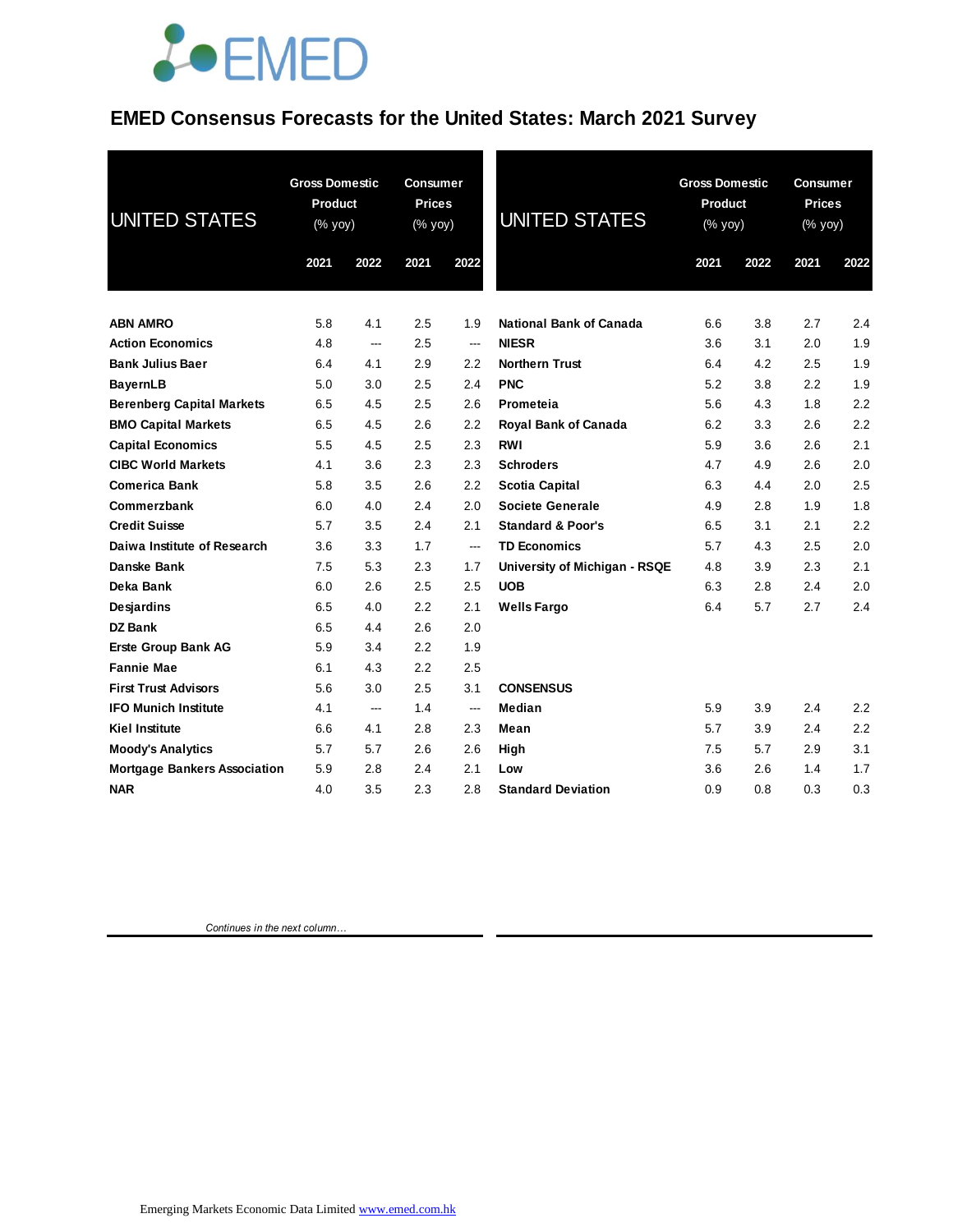### **EMED Consensus Forecasts for the United States: March 2021 Survey**

| <b>UNITED STATES</b>                | <b>Gross Domestic</b><br><b>Product</b><br>(% yoy) |      | Consumer<br><b>Prices</b><br>(% yoy) |      | <b>UNITED STATES</b>           | <b>Gross Domestic</b><br><b>Product</b><br>(% yoy) |      | <b>Consumer</b><br><b>Prices</b><br>(% yoy) |      |
|-------------------------------------|----------------------------------------------------|------|--------------------------------------|------|--------------------------------|----------------------------------------------------|------|---------------------------------------------|------|
|                                     | 2021                                               | 2022 | 2021                                 | 2022 |                                | 2021                                               | 2022 | 2021                                        | 2022 |
| <b>ABN AMRO</b>                     | 5.8                                                | 4.1  | 2.5                                  | 1.9  | <b>National Bank of Canada</b> | 6.6                                                | 3.8  | 2.7                                         | 2.4  |
| <b>Action Economics</b>             | 4.8                                                | ---  | 2.5                                  | ---  | <b>NIESR</b>                   | 3.6                                                | 3.1  | 2.0                                         | 1.9  |
| <b>Bank Julius Baer</b>             | 6.4                                                | 4.1  | 2.9                                  | 2.2  | <b>Northern Trust</b>          | 6.4                                                | 4.2  | 2.5                                         | 1.9  |
| <b>BayernLB</b>                     | 5.0                                                | 3.0  | 2.5                                  | 2.4  | <b>PNC</b>                     | 5.2                                                | 3.8  | 2.2                                         | 1.9  |
| <b>Berenberg Capital Markets</b>    | 6.5                                                | 4.5  | 2.5                                  | 2.6  | Prometeia                      | 5.6                                                | 4.3  | 1.8                                         | 2.2  |
| <b>BMO Capital Markets</b>          | 6.5                                                | 4.5  | 2.6                                  | 2.2  | Royal Bank of Canada           | 6.2                                                | 3.3  | 2.6                                         | 2.2  |
| <b>Capital Economics</b>            | 5.5                                                | 4.5  | 2.5                                  | 2.3  | <b>RWI</b>                     | 5.9                                                | 3.6  | 2.6                                         | 2.1  |
| <b>CIBC World Markets</b>           | 4.1                                                | 3.6  | 2.3                                  | 2.3  | <b>Schroders</b>               | 4.7                                                | 4.9  | 2.6                                         | 2.0  |
| <b>Comerica Bank</b>                | 5.8                                                | 3.5  | 2.6                                  | 2.2  | <b>Scotia Capital</b>          | 6.3                                                | 4.4  | 2.0                                         | 2.5  |
| Commerzbank                         | 6.0                                                | 4.0  | 2.4                                  | 2.0  | <b>Societe Generale</b>        | 4.9                                                | 2.8  | 1.9                                         | 1.8  |
| <b>Credit Suisse</b>                | 5.7                                                | 3.5  | 2.4                                  | 2.1  | <b>Standard &amp; Poor's</b>   | 6.5                                                | 3.1  | 2.1                                         | 2.2  |
| Daiwa Institute of Research         | 3.6                                                | 3.3  | 1.7                                  | ---  | <b>TD Economics</b>            | 5.7                                                | 4.3  | 2.5                                         | 2.0  |
| Danske Bank                         | 7.5                                                | 5.3  | 2.3                                  | 1.7  | University of Michigan - RSQE  | 4.8                                                | 3.9  | 2.3                                         | 2.1  |
| Deka Bank                           | 6.0                                                | 2.6  | 2.5                                  | 2.5  | <b>UOB</b>                     | 6.3                                                | 2.8  | 2.4                                         | 2.0  |
| <b>Desjardins</b>                   | 6.5                                                | 4.0  | $2.2\,$                              | 2.1  | <b>Wells Fargo</b>             | 6.4                                                | 5.7  | 2.7                                         | 2.4  |
| <b>DZ Bank</b>                      | 6.5                                                | 4.4  | 2.6                                  | 2.0  |                                |                                                    |      |                                             |      |
| <b>Erste Group Bank AG</b>          | 5.9                                                | 3.4  | $2.2\,$                              | 1.9  |                                |                                                    |      |                                             |      |
| <b>Fannie Mae</b>                   | 6.1                                                | 4.3  | 2.2                                  | 2.5  |                                |                                                    |      |                                             |      |
| <b>First Trust Advisors</b>         | 5.6                                                | 3.0  | 2.5                                  | 3.1  | <b>CONSENSUS</b>               |                                                    |      |                                             |      |
| <b>IFO Munich Institute</b>         | 4.1                                                | ---  | 1.4                                  | ---  | Median                         | 5.9                                                | 3.9  | 2.4                                         | 2.2  |
| Kiel Institute                      | 6.6                                                | 4.1  | 2.8                                  | 2.3  | Mean                           | 5.7                                                | 3.9  | 2.4                                         | 2.2  |
| <b>Moody's Analytics</b>            | 5.7                                                | 5.7  | 2.6                                  | 2.6  | High                           | 7.5                                                | 5.7  | 2.9                                         | 3.1  |
| <b>Mortgage Bankers Association</b> | 5.9                                                | 2.8  | 2.4                                  | 2.1  | Low                            | 3.6                                                | 2.6  | 1.4                                         | 1.7  |
| <b>NAR</b>                          | 4.0                                                | 3.5  | 2.3                                  | 2.8  | <b>Standard Deviation</b>      | 0.9                                                | 0.8  | 0.3                                         | 0.3  |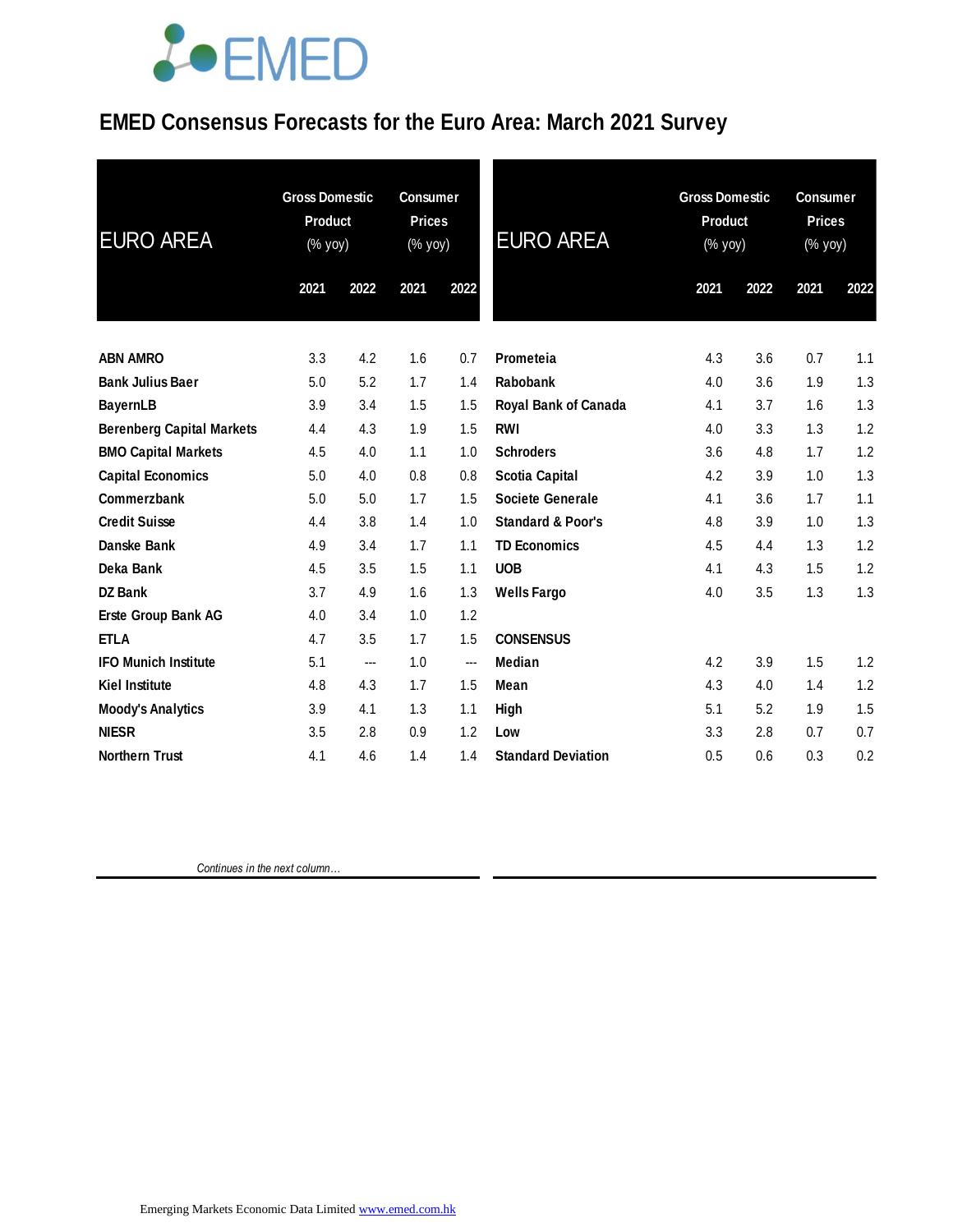### **EMED Consensus Forecasts for the Euro Area: March 2021 Survey**

| <b>EURO AREA</b>                 | <b>Gross Domestic</b><br><b>Product</b><br>(% yoy) |      | <b>Consumer</b><br><b>Prices</b><br>(% yoy) |                        | <b>EURO AREA</b>             | <b>Gross Domestic</b><br><b>Product</b><br>(% yoy) |      | <b>Consumer</b><br><b>Prices</b><br>(% yoy) |      |
|----------------------------------|----------------------------------------------------|------|---------------------------------------------|------------------------|------------------------------|----------------------------------------------------|------|---------------------------------------------|------|
|                                  | 2021                                               | 2022 | 2021                                        | 2022                   |                              | 2021                                               | 2022 | 2021                                        | 2022 |
| <b>ABN AMRO</b>                  | 3.3                                                | 4.2  | 1.6                                         | 0.7                    | Prometeia                    | 4.3                                                | 3.6  | 0.7                                         | 1.1  |
| <b>Bank Julius Baer</b>          | 5.0                                                | 5.2  | 1.7                                         | 1.4                    | <b>Rabobank</b>              | 4.0                                                | 3.6  | 1.9                                         | 1.3  |
| <b>BayernLB</b>                  | 3.9                                                | 3.4  | 1.5                                         | 1.5                    | <b>Royal Bank of Canada</b>  | 4.1                                                | 3.7  | 1.6                                         | 1.3  |
| <b>Berenberg Capital Markets</b> | 4.4                                                | 4.3  | 1.9                                         | 1.5                    | <b>RWI</b>                   | 4.0                                                | 3.3  | 1.3                                         | 1.2  |
| <b>BMO Capital Markets</b>       | 4.5                                                | 4.0  | 1.1                                         | 1.0                    | <b>Schroders</b>             | 3.6                                                | 4.8  | 1.7                                         | 1.2  |
| <b>Capital Economics</b>         | 5.0                                                | 4.0  | 0.8                                         | 0.8                    | <b>Scotia Capital</b>        | 4.2                                                | 3.9  | 1.0                                         | 1.3  |
| Commerzbank                      | 5.0                                                | 5.0  | 1.7                                         | 1.5                    | <b>Societe Generale</b>      | 4.1                                                | 3.6  | 1.7                                         | 1.1  |
| <b>Credit Suisse</b>             | 4.4                                                | 3.8  | 1.4                                         | 1.0                    | <b>Standard &amp; Poor's</b> | 4.8                                                | 3.9  | 1.0                                         | 1.3  |
| Danske Bank                      | 4.9                                                | 3.4  | 1.7                                         | 1.1                    | <b>TD Economics</b>          | 4.5                                                | 4.4  | 1.3                                         | 1.2  |
| Deka Bank                        | 4.5                                                | 3.5  | 1.5                                         | 1.1                    | <b>UOB</b>                   | 4.1                                                | 4.3  | 1.5                                         | 1.2  |
| DZ Bank                          | 3.7                                                | 4.9  | 1.6                                         | 1.3                    | <b>Wells Fargo</b>           | 4.0                                                | 3.5  | 1.3                                         | 1.3  |
| Erste Group Bank AG              | 4.0                                                | 3.4  | 1.0                                         | 1.2                    |                              |                                                    |      |                                             |      |
| <b>ETLA</b>                      | 4.7                                                | 3.5  | 1.7                                         | 1.5                    | <b>CONSENSUS</b>             |                                                    |      |                                             |      |
| <b>IFO Munich Institute</b>      | 5.1                                                | ---  | 1.0                                         | $\qquad \qquad \cdots$ | Median                       | 4.2                                                | 3.9  | 1.5                                         | 1.2  |
| <b>Kiel Institute</b>            | 4.8                                                | 4.3  | 1.7                                         | 1.5                    | Mean                         | 4.3                                                | 4.0  | 1.4                                         | 1.2  |
| <b>Moody's Analytics</b>         | 3.9                                                | 4.1  | 1.3                                         | 1.1                    | High                         | 5.1                                                | 5.2  | 1.9                                         | 1.5  |
| <b>NIESR</b>                     | 3.5                                                | 2.8  | 0.9                                         | 1.2                    | Low                          | 3.3                                                | 2.8  | 0.7                                         | 0.7  |
| <b>Northern Trust</b>            | 4.1                                                | 4.6  | 1.4                                         | 1.4                    | <b>Standard Deviation</b>    | 0.5                                                | 0.6  | 0.3                                         | 0.2  |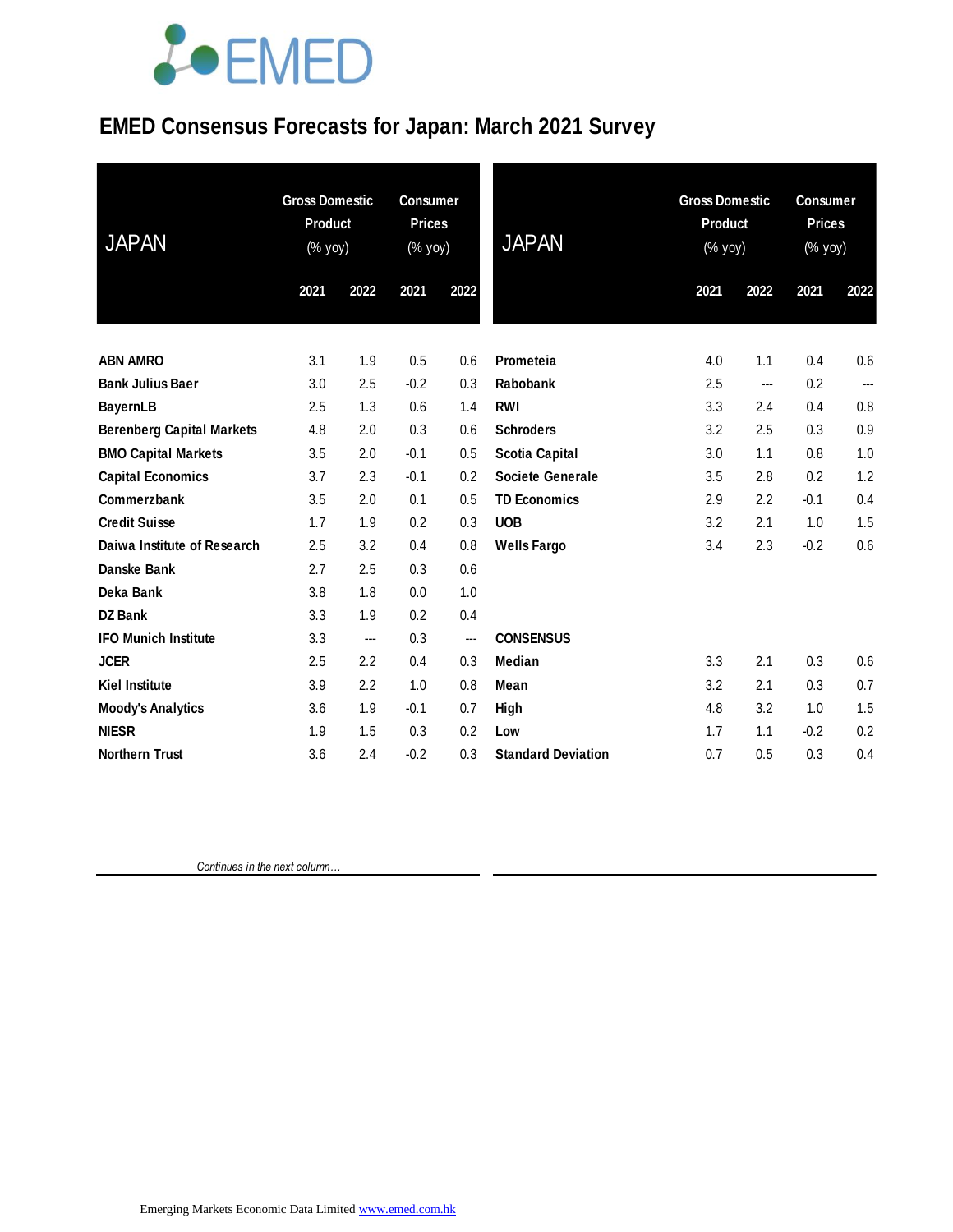### **EMED Consensus Forecasts for Japan: March 2021 Survey**

| <b>JAPAN</b>                     | <b>Gross Domestic</b><br><b>Product</b><br>(% yoy) |      | <b>Consumer</b><br><b>Prices</b><br>(% yoy) |                          | <b>JAPAN</b>              | <b>Gross Domestic</b><br><b>Product</b><br>(% yoy) |      | <b>Consumer</b><br><b>Prices</b><br>(% yoy) |      |
|----------------------------------|----------------------------------------------------|------|---------------------------------------------|--------------------------|---------------------------|----------------------------------------------------|------|---------------------------------------------|------|
|                                  | 2021                                               | 2022 | 2021                                        | 2022                     |                           | 2021                                               | 2022 | 2021                                        | 2022 |
| <b>ABN AMRO</b>                  | 3.1                                                | 1.9  | 0.5                                         | 0.6                      | Prometeia                 | 4.0                                                | 1.1  | 0.4                                         | 0.6  |
| <b>Bank Julius Baer</b>          | 3.0                                                | 2.5  | $-0.2$                                      | 0.3                      | Rabobank                  | 2.5                                                | ---  | 0.2                                         | ---  |
| <b>BayernLB</b>                  | 2.5                                                | 1.3  | 0.6                                         | 1.4                      | <b>RWI</b>                | 3.3                                                | 2.4  | 0.4                                         | 0.8  |
| <b>Berenberg Capital Markets</b> | 4.8                                                | 2.0  | 0.3                                         | 0.6                      | <b>Schroders</b>          | 3.2                                                | 2.5  | 0.3                                         | 0.9  |
| <b>BMO Capital Markets</b>       | 3.5                                                | 2.0  | $-0.1$                                      | 0.5                      | <b>Scotia Capital</b>     | 3.0                                                | 1.1  | 0.8                                         | 1.0  |
| <b>Capital Economics</b>         | 3.7                                                | 2.3  | $-0.1$                                      | 0.2                      | <b>Societe Generale</b>   | 3.5                                                | 2.8  | 0.2                                         | 1.2  |
| Commerzbank                      | 3.5                                                | 2.0  | 0.1                                         | 0.5                      | <b>TD Economics</b>       | 2.9                                                | 2.2  | $-0.1$                                      | 0.4  |
| <b>Credit Suisse</b>             | 1.7                                                | 1.9  | 0.2                                         | 0.3                      | <b>UOB</b>                | 3.2                                                | 2.1  | 1.0                                         | 1.5  |
| Daiwa Institute of Research      | 2.5                                                | 3.2  | 0.4                                         | 0.8                      | <b>Wells Fargo</b>        | 3.4                                                | 2.3  | $-0.2$                                      | 0.6  |
| Danske Bank                      | 2.7                                                | 2.5  | 0.3                                         | 0.6                      |                           |                                                    |      |                                             |      |
| Deka Bank                        | 3.8                                                | 1.8  | 0.0                                         | 1.0                      |                           |                                                    |      |                                             |      |
| <b>DZ Bank</b>                   | 3.3                                                | 1.9  | 0.2                                         | 0.4                      |                           |                                                    |      |                                             |      |
| <b>IFO Munich Institute</b>      | 3.3                                                | ---  | 0.3                                         | $\overline{\phantom{a}}$ | <b>CONSENSUS</b>          |                                                    |      |                                             |      |
| <b>JCER</b>                      | 2.5                                                | 2.2  | 0.4                                         | 0.3                      | <b>Median</b>             | 3.3                                                | 2.1  | 0.3                                         | 0.6  |
| <b>Kiel Institute</b>            | 3.9                                                | 2.2  | 1.0                                         | 0.8                      | Mean                      | 3.2                                                | 2.1  | 0.3                                         | 0.7  |
| <b>Moody's Analytics</b>         | 3.6                                                | 1.9  | $-0.1$                                      | 0.7                      | High                      | 4.8                                                | 3.2  | 1.0                                         | 1.5  |
| <b>NIESR</b>                     | 1.9                                                | 1.5  | 0.3                                         | 0.2                      | Low                       | 1.7                                                | 1.1  | $-0.2$                                      | 0.2  |
| <b>Northern Trust</b>            | 3.6                                                | 2.4  | $-0.2$                                      | 0.3                      | <b>Standard Deviation</b> | 0.7                                                | 0.5  | 0.3                                         | 0.4  |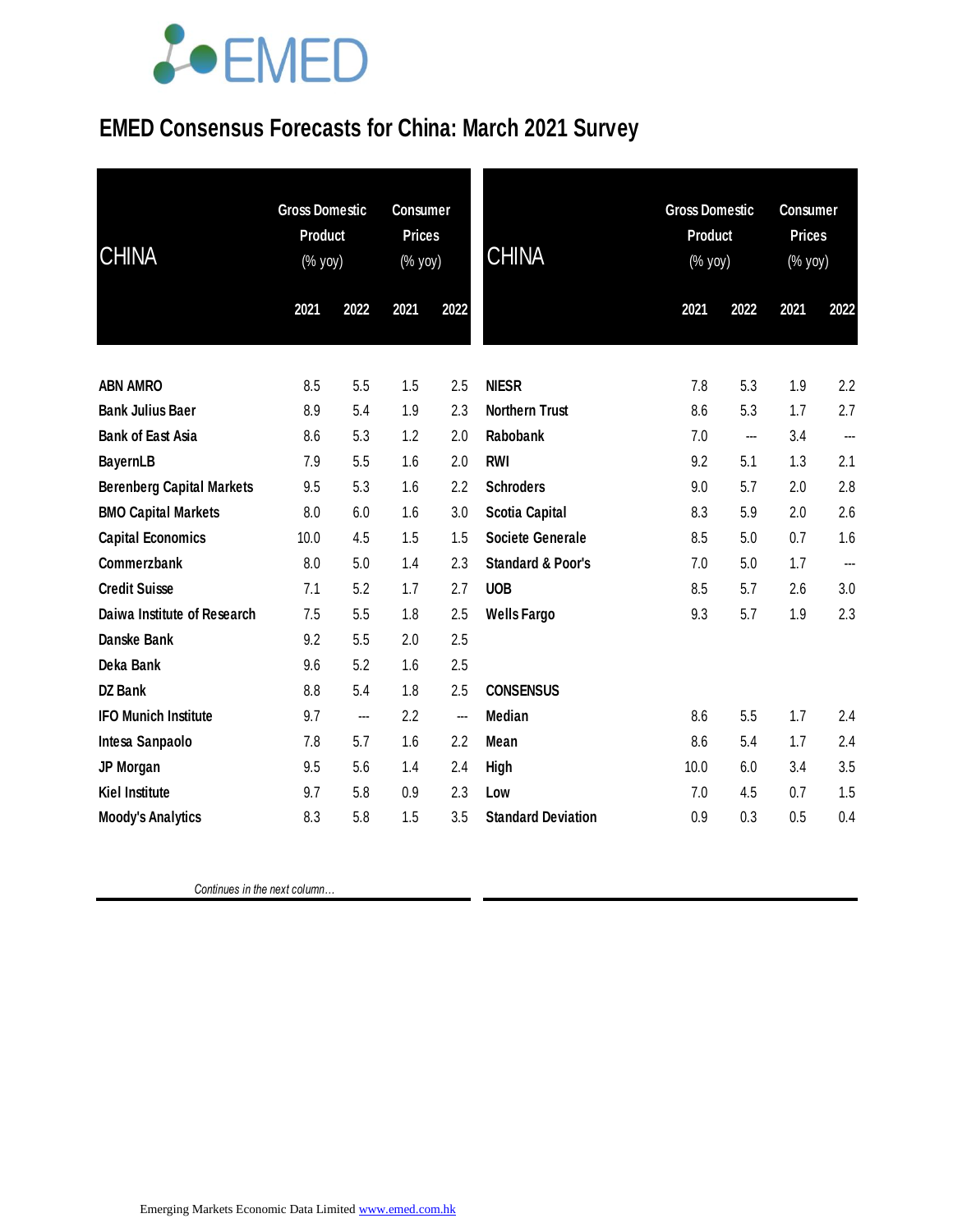### **EMED Consensus Forecasts for China: March 2021 Survey**

| <b>CHINA</b>                     | <b>Gross Domestic</b><br><b>Product</b><br>(% yoy) |      | <b>Consumer</b><br><b>Prices</b><br>(% yoy) |      | <b>CHINA</b>                 | <b>Gross Domestic</b><br><b>Product</b><br>(% yoy) |      | <b>Consumer</b><br><b>Prices</b><br>(% yoy) |      |
|----------------------------------|----------------------------------------------------|------|---------------------------------------------|------|------------------------------|----------------------------------------------------|------|---------------------------------------------|------|
|                                  | 2021                                               | 2022 | 2021                                        | 2022 |                              | 2021                                               | 2022 | 2021                                        | 2022 |
| <b>ABN AMRO</b>                  | 8.5                                                | 5.5  | 1.5                                         | 2.5  | <b>NIESR</b>                 | 7.8                                                | 5.3  | 1.9                                         | 2.2  |
| <b>Bank Julius Baer</b>          | 8.9                                                | 5.4  | 1.9                                         | 2.3  | <b>Northern Trust</b>        | 8.6                                                | 5.3  | 1.7                                         | 2.7  |
| <b>Bank of East Asia</b>         | 8.6                                                | 5.3  | 1.2                                         | 2.0  | Rabobank                     | 7.0                                                | ---  | 3.4                                         | ---  |
| <b>BayernLB</b>                  | 7.9                                                | 5.5  | 1.6                                         | 2.0  | <b>RWI</b>                   | 9.2                                                | 5.1  | 1.3                                         | 2.1  |
| <b>Berenberg Capital Markets</b> | 9.5                                                | 5.3  | 1.6                                         | 2.2  | <b>Schroders</b>             | 9.0                                                | 5.7  | 2.0                                         | 2.8  |
| <b>BMO Capital Markets</b>       | 8.0                                                | 6.0  | 1.6                                         | 3.0  | <b>Scotia Capital</b>        | 8.3                                                | 5.9  | 2.0                                         | 2.6  |
| <b>Capital Economics</b>         | 10.0                                               | 4.5  | 1.5                                         | 1.5  | <b>Societe Generale</b>      | 8.5                                                | 5.0  | 0.7                                         | 1.6  |
| Commerzbank                      | 8.0                                                | 5.0  | 1.4                                         | 2.3  | <b>Standard &amp; Poor's</b> | 7.0                                                | 5.0  | 1.7                                         | ---  |
| <b>Credit Suisse</b>             | 7.1                                                | 5.2  | 1.7                                         | 2.7  | <b>UOB</b>                   | 8.5                                                | 5.7  | 2.6                                         | 3.0  |
| Daiwa Institute of Research      | 7.5                                                | 5.5  | 1.8                                         | 2.5  | <b>Wells Fargo</b>           | 9.3                                                | 5.7  | 1.9                                         | 2.3  |
| Danske Bank                      | 9.2                                                | 5.5  | 2.0                                         | 2.5  |                              |                                                    |      |                                             |      |
| Deka Bank                        | 9.6                                                | 5.2  | 1.6                                         | 2.5  |                              |                                                    |      |                                             |      |
| <b>DZ Bank</b>                   | 8.8                                                | 5.4  | 1.8                                         | 2.5  | <b>CONSENSUS</b>             |                                                    |      |                                             |      |
| <b>IFO Munich Institute</b>      | 9.7                                                | ---  | 2.2                                         | ---  | Median                       | 8.6                                                | 5.5  | 1.7                                         | 2.4  |
| Intesa Sanpaolo                  | 7.8                                                | 5.7  | 1.6                                         | 2.2  | Mean                         | 8.6                                                | 5.4  | 1.7                                         | 2.4  |
| JP Morgan                        | 9.5                                                | 5.6  | 1.4                                         | 2.4  | High                         | 10.0                                               | 6.0  | 3.4                                         | 3.5  |
| <b>Kiel Institute</b>            | 9.7                                                | 5.8  | 0.9                                         | 2.3  | Low                          | 7.0                                                | 4.5  | 0.7                                         | 1.5  |
| <b>Moody's Analytics</b>         | 8.3                                                | 5.8  | 1.5                                         | 3.5  | <b>Standard Deviation</b>    | 0.9                                                | 0.3  | 0.5                                         | 0.4  |